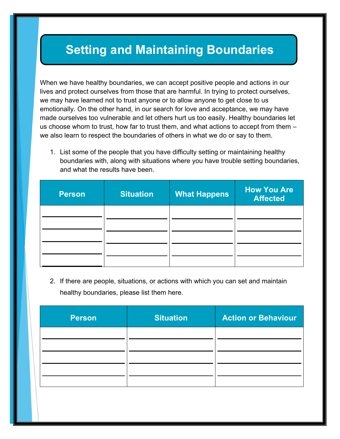## **Setting and Maintaining Boundaries**

When we have healthy boundaries, we can accept positive people and actions in our lives and protect ourselves from those that are harmful. In trying to protect ourselves, we may have learned not to trust anyone or to allow anyone to get close to us emotionally. On the other hand, in our search for love and acceptance, we may have made ourselves too vulnerable and let others hurt us too easily. Healthy boundaries let us choose whom to trust, how far to trust them, and what actions to accept from them – we also learn to respect the boundaries of others in what we do or say to them.

1. List some of the people that you have difficulty setting or maintaining healthy boundaries with, along with situations where you have trouble setting boundaries, and what the results have been.

| <b>Person</b> | <b>Situation</b> | <b>What Happens</b> | <b>How You Are</b><br><b>Affected</b> |
|---------------|------------------|---------------------|---------------------------------------|
|               |                  |                     |                                       |
|               |                  |                     |                                       |
|               |                  |                     |                                       |
|               |                  |                     |                                       |

2. If there are people, situations, or actions with which you can set and maintain healthy boundaries, please list them here.

| <b>Person</b> | <b>Situation</b> | <b>Action or Behaviour</b> |
|---------------|------------------|----------------------------|
|               |                  |                            |
|               |                  |                            |
|               |                  |                            |
|               |                  |                            |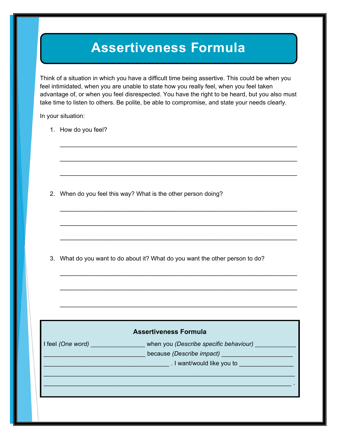## **Assertiveness Formula**

Think of a situation in which you have a difficult time being assertive. This could be when you feel intimidated, when you are unable to state how you really feel, when you feel taken advantage of, or when you feel disrespected. You have the right to be heard, but you also must take time to listen to others. Be polite, be able to compromise, and state your needs clearly.

\_\_\_\_\_\_\_\_\_\_\_\_\_\_\_\_\_\_\_\_\_\_\_\_\_\_\_\_\_\_\_\_\_\_\_\_\_\_\_\_\_\_\_\_\_\_\_\_\_\_\_\_\_\_\_\_\_\_\_\_\_\_\_\_

\_\_\_\_\_\_\_\_\_\_\_\_\_\_\_\_\_\_\_\_\_\_\_\_\_\_\_\_\_\_\_\_\_\_\_\_\_\_\_\_\_\_\_\_\_\_\_\_\_\_\_\_\_\_\_\_\_\_\_\_\_\_\_\_

\_\_\_\_\_\_\_\_\_\_\_\_\_\_\_\_\_\_\_\_\_\_\_\_\_\_\_\_\_\_\_\_\_\_\_\_\_\_\_\_\_\_\_\_\_\_\_\_\_\_\_\_\_\_\_\_\_\_\_\_\_\_\_\_

\_\_\_\_\_\_\_\_\_\_\_\_\_\_\_\_\_\_\_\_\_\_\_\_\_\_\_\_\_\_\_\_\_\_\_\_\_\_\_\_\_\_\_\_\_\_\_\_\_\_\_\_\_\_\_\_\_\_\_\_\_\_\_\_

\_\_\_\_\_\_\_\_\_\_\_\_\_\_\_\_\_\_\_\_\_\_\_\_\_\_\_\_\_\_\_\_\_\_\_\_\_\_\_\_\_\_\_\_\_\_\_\_\_\_\_\_\_\_\_\_\_\_\_\_\_\_\_\_

\_\_\_\_\_\_\_\_\_\_\_\_\_\_\_\_\_\_\_\_\_\_\_\_\_\_\_\_\_\_\_\_\_\_\_\_\_\_\_\_\_\_\_\_\_\_\_\_\_\_\_\_\_\_\_\_\_\_\_\_\_\_\_\_

\_\_\_\_\_\_\_\_\_\_\_\_\_\_\_\_\_\_\_\_\_\_\_\_\_\_\_\_\_\_\_\_\_\_\_\_\_\_\_\_\_\_\_\_\_\_\_\_\_\_\_\_\_\_\_\_\_\_\_\_\_\_\_\_

\_\_\_\_\_\_\_\_\_\_\_\_\_\_\_\_\_\_\_\_\_\_\_\_\_\_\_\_\_\_\_\_\_\_\_\_\_\_\_\_\_\_\_\_\_\_\_\_\_\_\_\_\_\_\_\_\_\_\_\_\_\_\_\_

\_\_\_\_\_\_\_\_\_\_\_\_\_\_\_\_\_\_\_\_\_\_\_\_\_\_\_\_\_\_\_\_\_\_\_\_\_\_\_\_\_\_\_\_\_\_\_\_\_\_\_\_\_\_\_\_\_\_\_\_\_\_\_\_

In your situation:

1. How do you feel?

2. When do you feel this way? What is the other person doing?

3. What do you want to do about it? What do you want the other person to do?

| <b>Assertiveness Formula</b>          |                                                                                                                                                                                                                                      |  |  |
|---------------------------------------|--------------------------------------------------------------------------------------------------------------------------------------------------------------------------------------------------------------------------------------|--|--|
| I feel <i>(One word)</i> ____________ | when you (Describe specific behaviour)                                                                                                                                                                                               |  |  |
|                                       | because (Describe impact) <b>Secure 19 and 19 and 19 and 19 and 19 and 19 and 19 and 19 and 19 and 19 and 19 and 19 and 19 and 19 and 19 and 19 and 19 and 19 and 19 and 19 and 19 and 19 and 19 and 19 and 19 and 19 and 19 and</b> |  |  |
|                                       | . I want/would like you to $\sim$                                                                                                                                                                                                    |  |  |
|                                       |                                                                                                                                                                                                                                      |  |  |
|                                       |                                                                                                                                                                                                                                      |  |  |
|                                       |                                                                                                                                                                                                                                      |  |  |
|                                       |                                                                                                                                                                                                                                      |  |  |
|                                       |                                                                                                                                                                                                                                      |  |  |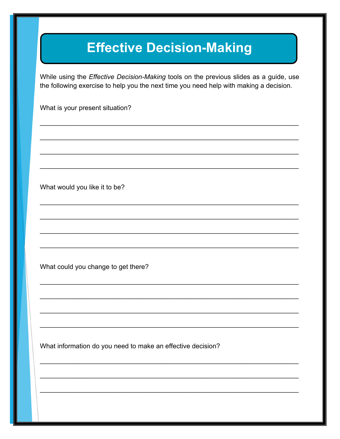## **Effective Decision-Making**

While using the Effective Decision-Making tools on the previous slides as a guide, use the following exercise to help you the next time you need help with making a decision.

What is your present situation?

What would you like it to be?

What could you change to get there?

What information do you need to make an effective decision?